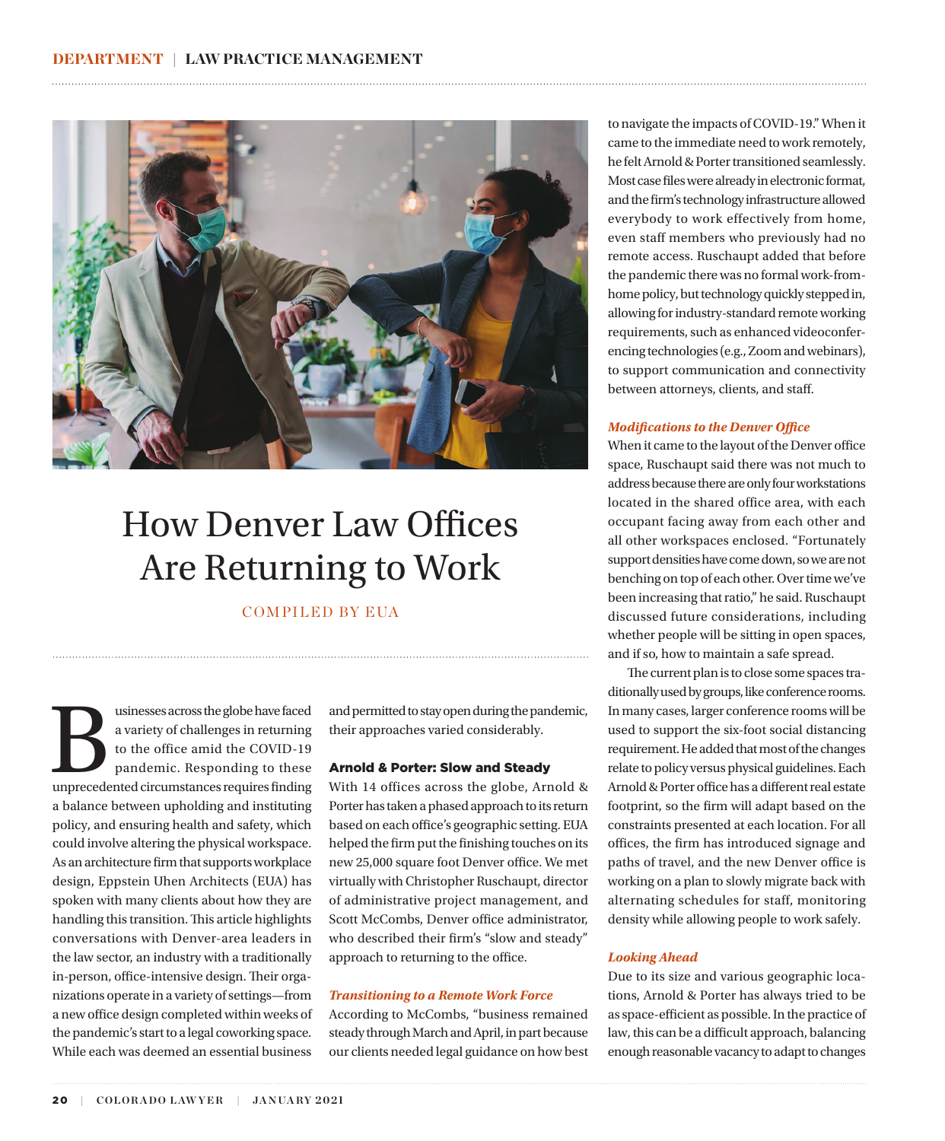

# How Denver Law Offices Are Returning to Work

COMPILED BY EUA

usinesses across the globe have faced<br>a variety of challenges in returning<br>to the office amid the COVID-19<br>pandemic. Responding to these<br>unprecedented circumstances requires finding a variety of challenges in returning to the office amid the COVID-19 pandemic. Responding to these unprecedented circumstances requires finding a balance between upholding and instituting policy, and ensuring health and safety, which could involve altering the physical workspace. As an architecture firm that supports workplace design, Eppstein Uhen Architects (EUA) has spoken with many clients about how they are handling this transition. This article highlights conversations with Denver-area leaders in the law sector, an industry with a traditionally in-person, office-intensive design. Their organizations operate in a variety of settings—from a new office design completed within weeks of the pandemic's start to a legal coworking space. While each was deemed an essential business

and permitted to stay open during the pandemic, their approaches varied considerably.

#### Arnold & Porter: Slow and Steady

With 14 offices across the globe, Arnold & Porter has taken a phased approach to its return based on each office's geographic setting. EUA helped the firm put the finishing touches on its new 25,000 square foot Denver office. We met virtually with Christopher Ruschaupt, director of administrative project management, and Scott McCombs, Denver office administrator, who described their firm's "slow and steady" approach to returning to the office.

## *Transitioning to a Remote Work Force*

According to McCombs, "business remained steady through March and April, in part because our clients needed legal guidance on how best to navigate the impacts of COVID-19." When it came to the immediate need to work remotely, he felt Arnold & Porter transitioned seamlessly. Most case files were already in electronic format, and the firm's technology infrastructure allowed everybody to work effectively from home, even staff members who previously had no remote access. Ruschaupt added that before the pandemic there was no formal work-fromhome policy, but technology quickly stepped in, allowing for industry-standard remote working requirements, such as enhanced videoconferencing technologies (e.g., Zoom and webinars), to support communication and connectivity between attorneys, clients, and staff.

#### *Modifications to the Denver Office*

When it came to the layout of the Denver office space, Ruschaupt said there was not much to address because there are only four workstations located in the shared office area, with each occupant facing away from each other and all other workspaces enclosed. "Fortunately support densities have come down, so we are not benching on top of each other. Over time we've been increasing that ratio," he said. Ruschaupt discussed future considerations, including whether people will be sitting in open spaces, and if so, how to maintain a safe spread.

The current plan is to close some spaces traditionally used by groups, like conference rooms. In many cases, larger conference rooms will be used to support the six-foot social distancing requirement. He added that most of the changes relate to policy versus physical guidelines. Each Arnold & Porter office has a different real estate footprint, so the firm will adapt based on the constraints presented at each location. For all offices, the firm has introduced signage and paths of travel, and the new Denver office is working on a plan to slowly migrate back with alternating schedules for staff, monitoring density while allowing people to work safely.

#### *Looking Ahead*

Due to its size and various geographic locations, Arnold & Porter has always tried to be as space-efficient as possible. In the practice of law, this can be a difficult approach, balancing enough reasonable vacancy to adapt to changes